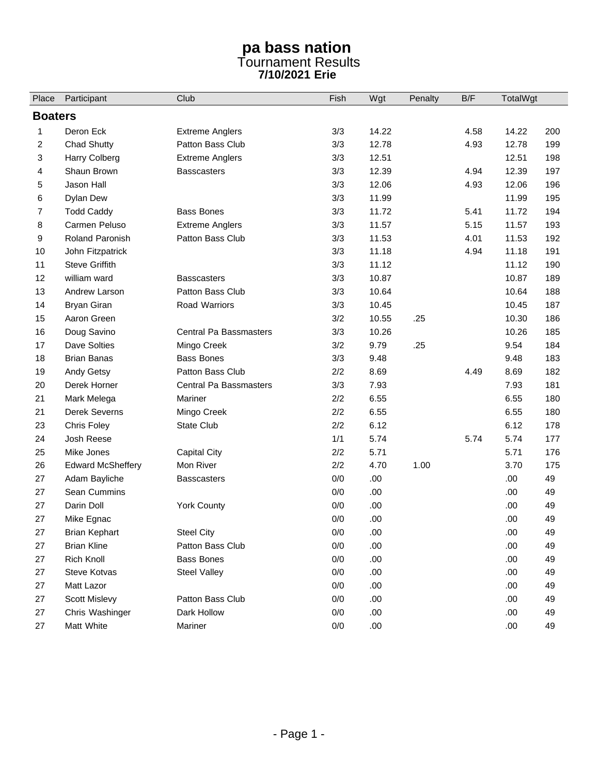## **pa bass nation**  Tournament Results **7/10/2021 Erie**

| Place          | Participant              | Club                          | Fish  | Wgt   | Penalty | B/F  | TotalWgt |     |  |  |  |
|----------------|--------------------------|-------------------------------|-------|-------|---------|------|----------|-----|--|--|--|
| <b>Boaters</b> |                          |                               |       |       |         |      |          |     |  |  |  |
| 1              | Deron Eck                | <b>Extreme Anglers</b>        | 3/3   | 14.22 |         | 4.58 | 14.22    | 200 |  |  |  |
| 2              | <b>Chad Shutty</b>       | Patton Bass Club              | 3/3   | 12.78 |         | 4.93 | 12.78    | 199 |  |  |  |
| 3              | Harry Colberg            | <b>Extreme Anglers</b>        | 3/3   | 12.51 |         |      | 12.51    | 198 |  |  |  |
| 4              | Shaun Brown              | <b>Basscasters</b>            | 3/3   | 12.39 |         | 4.94 | 12.39    | 197 |  |  |  |
| 5              | Jason Hall               |                               | 3/3   | 12.06 |         | 4.93 | 12.06    | 196 |  |  |  |
| 6              | Dylan Dew                |                               | 3/3   | 11.99 |         |      | 11.99    | 195 |  |  |  |
| 7              | <b>Todd Caddy</b>        | <b>Bass Bones</b>             | 3/3   | 11.72 |         | 5.41 | 11.72    | 194 |  |  |  |
| 8              | Carmen Peluso            | <b>Extreme Anglers</b>        | 3/3   | 11.57 |         | 5.15 | 11.57    | 193 |  |  |  |
| 9              | <b>Roland Paronish</b>   | Patton Bass Club              | 3/3   | 11.53 |         | 4.01 | 11.53    | 192 |  |  |  |
| 10             | John Fitzpatrick         |                               | 3/3   | 11.18 |         | 4.94 | 11.18    | 191 |  |  |  |
| 11             | <b>Steve Griffith</b>    |                               | 3/3   | 11.12 |         |      | 11.12    | 190 |  |  |  |
| 12             | william ward             | <b>Basscasters</b>            | 3/3   | 10.87 |         |      | 10.87    | 189 |  |  |  |
| 13             | Andrew Larson            | Patton Bass Club              | 3/3   | 10.64 |         |      | 10.64    | 188 |  |  |  |
| 14             | <b>Bryan Giran</b>       | Road Warriors                 | 3/3   | 10.45 |         |      | 10.45    | 187 |  |  |  |
| 15             | Aaron Green              |                               | 3/2   | 10.55 | .25     |      | 10.30    | 186 |  |  |  |
| 16             | Doug Savino              | <b>Central Pa Bassmasters</b> | 3/3   | 10.26 |         |      | 10.26    | 185 |  |  |  |
| 17             | Dave Solties             | Mingo Creek                   | 3/2   | 9.79  | .25     |      | 9.54     | 184 |  |  |  |
| 18             | <b>Brian Banas</b>       | <b>Bass Bones</b>             | 3/3   | 9.48  |         |      | 9.48     | 183 |  |  |  |
| 19             | Andy Getsy               | Patton Bass Club              | 2/2   | 8.69  |         | 4.49 | 8.69     | 182 |  |  |  |
| 20             | Derek Horner             | Central Pa Bassmasters        | 3/3   | 7.93  |         |      | 7.93     | 181 |  |  |  |
| 21             | Mark Melega              | Mariner                       | 2/2   | 6.55  |         |      | 6.55     | 180 |  |  |  |
| 21             | Derek Severns            | Mingo Creek                   | 2/2   | 6.55  |         |      | 6.55     | 180 |  |  |  |
| 23             | Chris Foley              | <b>State Club</b>             | 2/2   | 6.12  |         |      | 6.12     | 178 |  |  |  |
| 24             | Josh Reese               |                               | 1/1   | 5.74  |         | 5.74 | 5.74     | 177 |  |  |  |
| 25             | Mike Jones               | Capital City                  | 2/2   | 5.71  |         |      | 5.71     | 176 |  |  |  |
| 26             | <b>Edward McSheffery</b> | Mon River                     | 2/2   | 4.70  | 1.00    |      | 3.70     | 175 |  |  |  |
| 27             | Adam Bayliche            | <b>Basscasters</b>            | 0/0   | .00   |         |      | .00      | 49  |  |  |  |
| 27             | Sean Cummins             |                               | 0/0   | .00   |         |      | .00      | 49  |  |  |  |
| 27             | Darin Doll               | <b>York County</b>            | 0/0   | .00   |         |      | .00      | 49  |  |  |  |
| 27             | Mike Egnac               |                               | 0/0   | .00   |         |      | .00      | 49  |  |  |  |
| 27             | <b>Brian Kephart</b>     | <b>Steel City</b>             | 0/0   | .00   |         |      | .00.     | 49  |  |  |  |
| 27             | <b>Brian Kline</b>       | Patton Bass Club              | $0/0$ | .00   |         |      | .00      | 49  |  |  |  |
| 27             | Rich Knoll               | <b>Bass Bones</b>             | 0/0   | .00   |         |      | .00.     | 49  |  |  |  |
| 27             | Steve Kotvas             | Steel Valley                  | 0/0   | .00   |         |      | .00.     | 49  |  |  |  |
| 27             | Matt Lazor               |                               | 0/0   | .00.  |         |      | .00.     | 49  |  |  |  |
| 27             | Scott Mislevy            | Patton Bass Club              | 0/0   | .00.  |         |      | .00      | 49  |  |  |  |
| 27             | Chris Washinger          | Dark Hollow                   | 0/0   | .00   |         |      | .00.     | 49  |  |  |  |
| 27             | Matt White               | Mariner                       | 0/0   | .00   |         |      | .00.     | 49  |  |  |  |